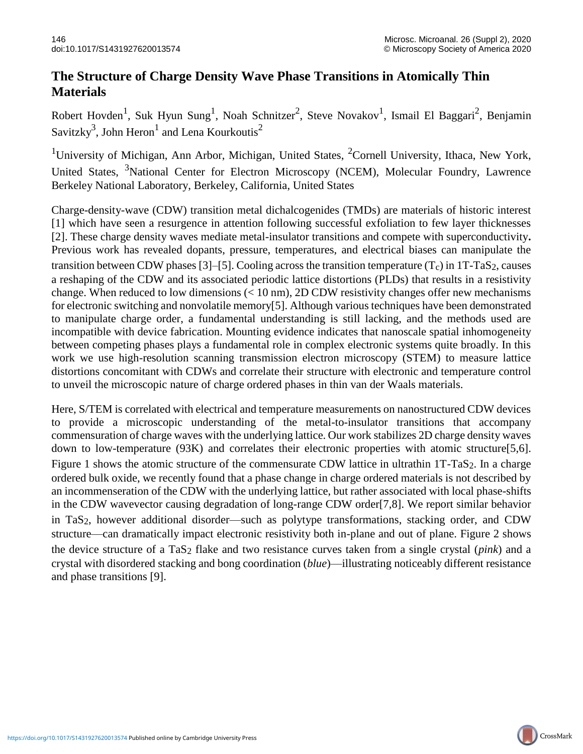## **The Structure of Charge Density Wave Phase Transitions in Atomically Thin Materials**

Robert Hovden<sup>1</sup>, Suk Hyun Sung<sup>1</sup>, Noah Schnitzer<sup>2</sup>, Steve Novakov<sup>1</sup>, Ismail El Baggari<sup>2</sup>, Benjamin Savitzky $^3$ , John Heron $^1$  and Lena Kourkoutis $^2$ 

<sup>1</sup>University of Michigan, Ann Arbor, Michigan, United States, <sup>2</sup>Cornell University, Ithaca, New York, United States, <sup>3</sup>National Center for Electron Microscopy (NCEM), Molecular Foundry, Lawrence Berkeley National Laboratory, Berkeley, California, United States

Charge-density-wave (CDW) transition metal dichalcogenides (TMDs) are materials of historic interest [1] which have seen a resurgence in attention following successful exfoliation to few layer thicknesses [2]. These charge density waves mediate metal-insulator transitions and compete with superconductivity**.**  Previous work has revealed dopants, pressure, temperatures, and electrical biases can manipulate the transition between CDW phases [3]–[5]. Cooling across the transition temperature  $(T_c)$  in 1T-TaS<sub>2</sub>, causes a reshaping of the CDW and its associated periodic lattice distortions (PLDs) that results in a resistivity change. When reduced to low dimensions  $(< 10 \text{ nm}$ ), 2D CDW resistivity changes offer new mechanisms for electronic switching and nonvolatile memory[5]. Although various techniques have been demonstrated to manipulate charge order, a fundamental understanding is still lacking, and the methods used are incompatible with device fabrication. Mounting evidence indicates that nanoscale spatial inhomogeneity between competing phases plays a fundamental role in complex electronic systems quite broadly. In this work we use high-resolution scanning transmission electron microscopy (STEM) to measure lattice distortions concomitant with CDWs and correlate their structure with electronic and temperature control to unveil the microscopic nature of charge ordered phases in thin van der Waals materials.

Here, S/TEM is correlated with electrical and temperature measurements on nanostructured CDW devices to provide a microscopic understanding of the metal-to-insulator transitions that accompany commensuration of charge waves with the underlying lattice. Our work stabilizes 2D charge density waves down to low-temperature (93K) and correlates their electronic properties with atomic structure[5,6]. Figure 1 shows the atomic structure of the commensurate CDW lattice in ultrathin 1T-TaS<sub>2</sub>. In a charge ordered bulk oxide, we recently found that a phase change in charge ordered materials is not described by an incommenseration of the CDW with the underlying lattice, but rather associated with local phase-shifts in the CDW wavevector causing degradation of long-range CDW order[7,8]. We report similar behavior in TaS2, however additional disorder—such as polytype transformations, stacking order, and CDW structure—can dramatically impact electronic resistivity both in-plane and out of plane. Figure 2 shows the device structure of a TaS2 flake and two resistance curves taken from a single crystal (*pink*) and a crystal with disordered stacking and bong coordination (*blue*)—illustrating noticeably different resistance and phase transitions [9].